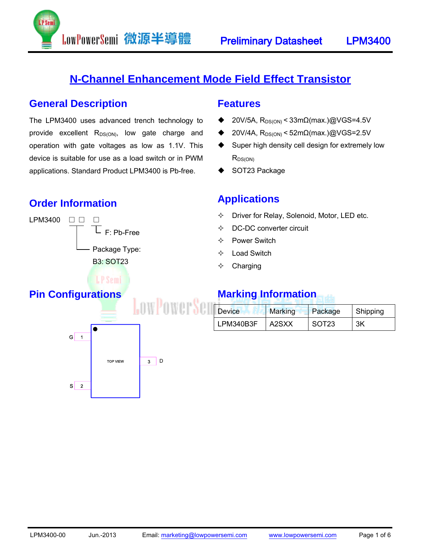

## **N-Channel Enhancement Mode Field Effect Transistor**

#### **General Description**

The LPM3400 uses advanced trench technology to provide excellent  $R_{DS(ON)}$ , low gate charge and operation with gate voltages as low as 1.1V. This device is suitable for use as a load switch or in PWM applications. Standard Product LPM3400 is Pb-free.

LowPowerSemi 微源半導體

### **Order Information**

 $s|2$ 



 $S = \begin{bmatrix} 3 & 5 \ 2 & 3 \end{bmatrix}$ 

#### **Features**

- $20V/5A$ , R<sub>DS(ON)</sub> <  $33mΩ$ (max.)@VGS=4.5V
- $\triangleq$  20V/4A, R<sub>DS(ON)</sub> < 52m $\Omega$ (max.)@VGS=2.5V
- ◆ Super high density cell design for extremely low  $R_{DS(ON)}$
- SOT23 Package

#### **Applications**

- $\Diamond$  Driver for Relay, Solenoid, Motor, LED etc.
- $\Diamond$  DC-DC converter circuit
- $\Leftrightarrow$  Power Switch
- Load Switch
- $\Leftrightarrow$  Charging

### **Marking Information**

| <b>Device</b> | <b>Marking</b> | Package           | Shipping |
|---------------|----------------|-------------------|----------|
| LPM340B3F     | A2SXX          | SOT <sub>23</sub> | 3K       |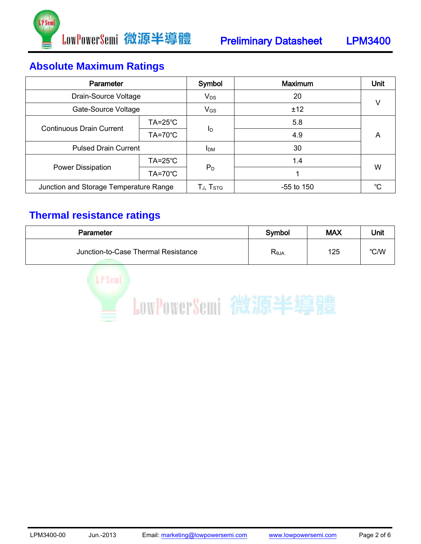

## **Absolute Maximum Ratings**

| <b>Parameter</b>                       |                    | Symbol            | <b>Maximum</b> | <b>Unit</b> |  |
|----------------------------------------|--------------------|-------------------|----------------|-------------|--|
| Drain-Source Voltage                   |                    | $V_{DS}$          | 20             |             |  |
| Gate-Source Voltage                    |                    | $V_{GS}$          | ±12            |             |  |
|                                        | $TA = 25^{\circ}C$ |                   | 5.8            |             |  |
| <b>Continuous Drain Current</b>        | $TA=70^{\circ}C$   | ΙD                | 4.9            | A           |  |
| <b>Pulsed Drain Current</b>            |                    | <b>IDM</b>        | 30             |             |  |
|                                        | $TA=25^{\circ}C$   |                   | 1.4            | W           |  |
| Power Dissipation                      | $TA=70^{\circ}C$   | $P_D$             |                |             |  |
| Junction and Storage Temperature Range |                    | $T_J$ , $T_{STG}$ | $-55$ to 150   | °C          |  |

## **Thermal resistance ratings**

| Parameter                           | Symbol | <b>MAX</b> | Unit |
|-------------------------------------|--------|------------|------|
| Junction-to-Case Thermal Resistance | Reja   | 125        | °C/W |

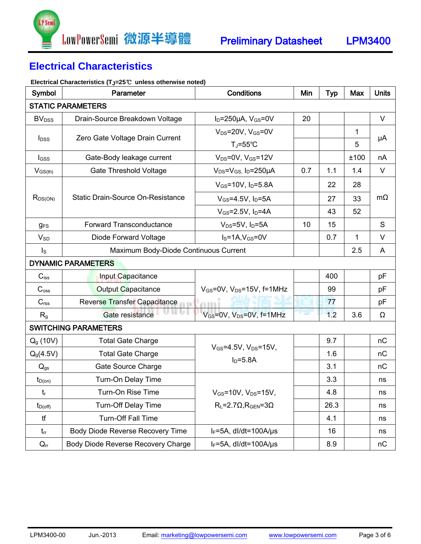

## **Electrical Characteristics**

#### **Electrical Characteristics (TJ=25**℃ **unless otherwise noted)**

| Symbol                      | Parameter                                                           | Conditions                                       | Min | <b>Typ</b> | Max  | <b>Units</b> |  |
|-----------------------------|---------------------------------------------------------------------|--------------------------------------------------|-----|------------|------|--------------|--|
| <b>STATIC PARAMETERS</b>    |                                                                     |                                                  |     |            |      |              |  |
| <b>BV</b> <sub>DSS</sub>    | Drain-Source Breakdown Voltage<br>$I_D = 250 \mu A$ , $V_{GS} = 0V$ |                                                  | 20  |            |      | V            |  |
|                             | Zero Gate Voltage Drain Current                                     | $V_{DS}$ =20V, $V_{GS}$ =0V                      |     |            | 1    | μA           |  |
| <b>l</b> <sub>DSS</sub>     |                                                                     | $T_J = 55^{\circ}C$                              |     |            | 5    |              |  |
| l <sub>GSS</sub>            | Gate-Body leakage current                                           | $V_{DS} = 0V$ , $V_{GS} = 12V$                   |     |            | ±100 | nA           |  |
| $V_{GS(th)}$                | <b>Gate Threshold Voltage</b>                                       | $V_{DS} = V_{GS}$ , $I_D = 250 \mu A$            | 0.7 | 1.1        | 1.4  | V            |  |
|                             | Static Drain-Source On-Resistance                                   | $V_{GS}$ =10V, $I_D$ =5.8A                       |     | 22         | 28   | $m\Omega$    |  |
| $R_{DS(ON)}$                |                                                                     | $V_{GS} = 4.5V$ , $I_D = 5A$                     |     | 27         | 33   |              |  |
|                             |                                                                     | $V_{GS}$ =2.5V, $I_D$ =4A                        |     | 43         | 52   |              |  |
| <b>gFS</b>                  | <b>Forward Transconductance</b>                                     | $V_{DS} = 5V$ , $I_D = 5A$                       | 10  | 15         |      | S            |  |
| $V_{SD}$                    | Diode Forward Voltage                                               | $IS=1A, VGS=0V$                                  |     | 0.7        | 1    | V            |  |
| $\mathsf{I}_\mathsf{S}$     | Maximum Body-Diode Continuous Current                               |                                                  |     | 2.5        | A    |              |  |
| <b>DYNAMIC PARAMETERS</b>   |                                                                     |                                                  |     |            |      |              |  |
| $C_{iss}$                   | Input Capacitance                                                   |                                                  |     | 400        |      | рF           |  |
| C <sub>oss</sub>            | <b>Output Capacitance</b>                                           | $V_{GS}$ =0V, $V_{DS}$ =15V, f=1MHz              |     | 99         |      | рF           |  |
| C <sub>rss</sub>            | Reverse Transfer Capacitance<br>ΩÐ                                  |                                                  |     | 77         |      | pF           |  |
| R <sub>g</sub>              | Gate resistance                                                     | V <sub>GS</sub> =0V, V <sub>DS</sub> =0V, f=1MHz |     | 1.2        | 3.6  | Ω            |  |
| <b>SWITCHING PARAMETERS</b> |                                                                     |                                                  |     |            |      |              |  |
| $Q_{q}$ (10V)               | <b>Total Gate Charge</b>                                            |                                                  |     | 9.7        |      | nC           |  |
| $Q_9(4.5V)$                 | <b>Total Gate Charge</b>                                            | $V_{GS} = 4.5V$ , $V_{DS} = 15V$ ,               |     | 1.6        |      | nC           |  |
| $Q_{gs}$                    | Gate Source Charge                                                  | $I_D = 5.8A$                                     |     | 3.1        |      | nC           |  |
| $t_{D(on)}$                 | Turn-On Delay Time                                                  |                                                  |     | 3.3        |      | ns           |  |
| $t_{r}$                     | Turn-On Rise Time                                                   | $V_{GS}$ =10V, $V_{DS}$ =15V,                    |     | 4.8        |      | ns           |  |
| $t_{D(off)}$                | <b>Turn-Off Delay Time</b>                                          | $R_L = 2.7 \Omega, R_{GEN} = 3 \Omega$           |     | 26.3       |      | ns           |  |
| tf                          | <b>Turn-Off Fall Time</b>                                           |                                                  |     | 4.1        |      | ns           |  |
| $t_{rr}$                    | <b>Body Diode Reverse Recovery Time</b>                             | $I_F = 5A$ , dl/dt=100A/us                       |     | 16         |      | ns           |  |
| $Q_{rr}$                    | Body Diode Reverse Recovery Charge                                  | $I_F = 5A$ , dl/dt=100A/µs                       |     | 8.9        |      | nC           |  |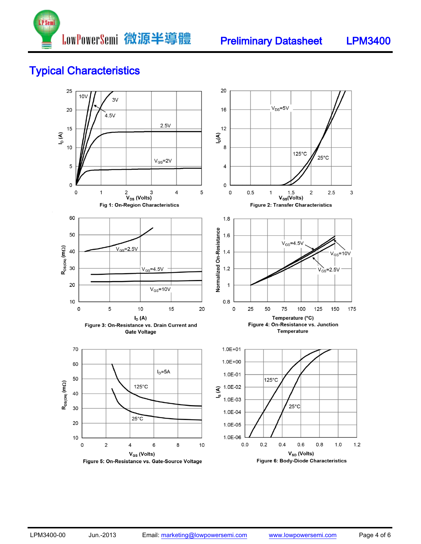

# Typical Characteristics

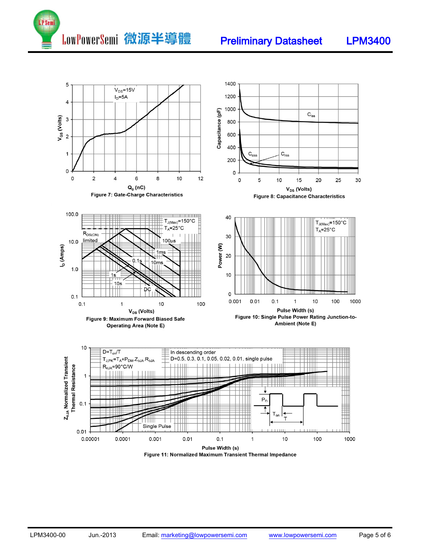



Figure 11: Normalized Maximum Transient Thermal Impedance

LPM3400-00 Jun.-2013 Email: [marketing@lowpowersemi.com](mailto:marketing@lowpowersemi.com) [www.lowpowersemi.com](http://www.lowpowersemi.com/) Page 5 of 6